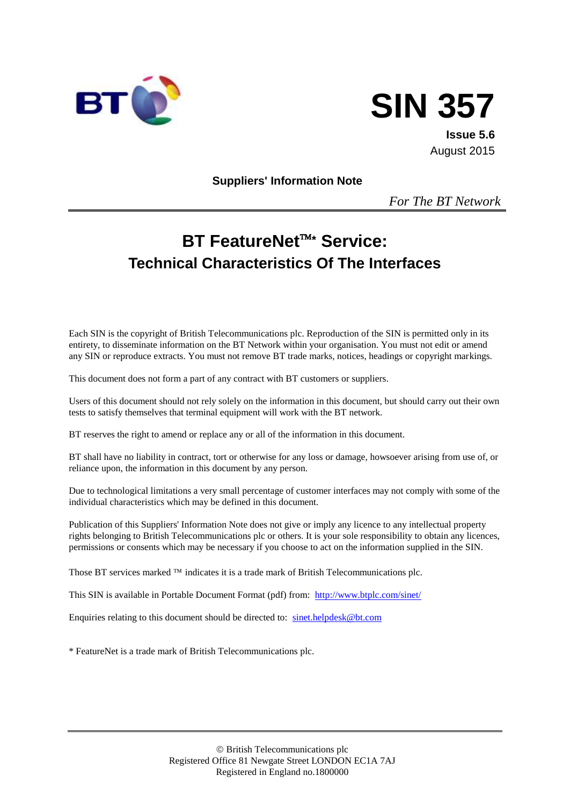



**Issue 5.6** August 2015

**Suppliers' Information Note**

*For The BT Network*

# **BT FeatureNet\* Service: Technical Characteristics Of The Interfaces**

Each SIN is the copyright of British Telecommunications plc. Reproduction of the SIN is permitted only in its entirety, to disseminate information on the BT Network within your organisation. You must not edit or amend any SIN or reproduce extracts. You must not remove BT trade marks, notices, headings or copyright markings.

This document does not form a part of any contract with BT customers or suppliers.

Users of this document should not rely solely on the information in this document, but should carry out their own tests to satisfy themselves that terminal equipment will work with the BT network.

BT reserves the right to amend or replace any or all of the information in this document.

BT shall have no liability in contract, tort or otherwise for any loss or damage, howsoever arising from use of, or reliance upon, the information in this document by any person.

Due to technological limitations a very small percentage of customer interfaces may not comply with some of the individual characteristics which may be defined in this document.

Publication of this Suppliers' Information Note does not give or imply any licence to any intellectual property rights belonging to British Telecommunications plc or others. It is your sole responsibility to obtain any licences, permissions or consents which may be necessary if you choose to act on the information supplied in the SIN.

Those BT services marked  $TM$  indicates it is a trade mark of British Telecommunications plc.

This SIN is available in Portable Document Format (pdf) from: <http://www.btplc.com/sinet/>

Enquiries relating to this document should be directed to: [sinet.helpdesk@bt.com](mailto:sinet.helpdesk@bt.com)

\* FeatureNet is a trade mark of British Telecommunications plc.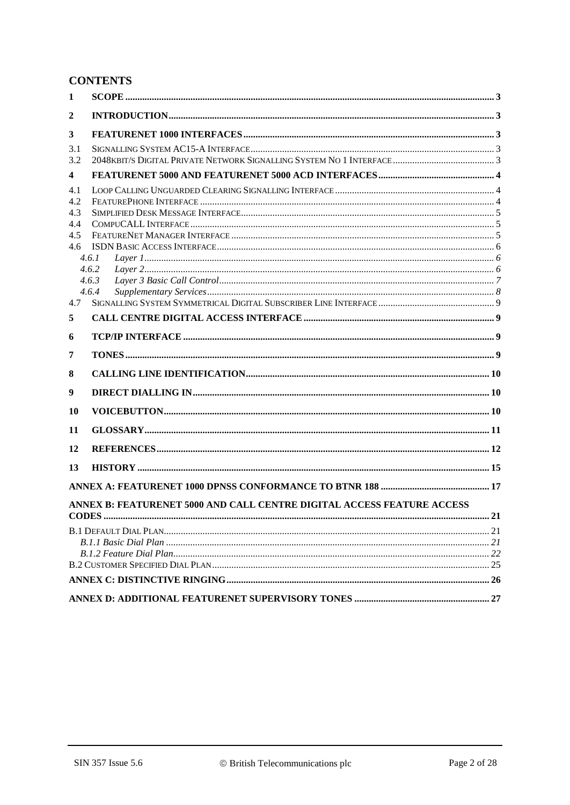# **CONTENTS**

| 1                |                                                                        |  |
|------------------|------------------------------------------------------------------------|--|
| $\boldsymbol{2}$ |                                                                        |  |
| 3                |                                                                        |  |
| 3.1              |                                                                        |  |
| 3.2              |                                                                        |  |
| 4                |                                                                        |  |
| 4.1              |                                                                        |  |
| 4.2              |                                                                        |  |
| 4.3              |                                                                        |  |
| 4.4              |                                                                        |  |
| 4.5              |                                                                        |  |
| 4.6              |                                                                        |  |
|                  | 4.6.1                                                                  |  |
|                  | 4.6.2                                                                  |  |
|                  | 4.6.3                                                                  |  |
|                  | 4.6.4                                                                  |  |
| 4.7              |                                                                        |  |
| 5                |                                                                        |  |
| 6                |                                                                        |  |
| 7                |                                                                        |  |
| 8                |                                                                        |  |
| 9                |                                                                        |  |
| 10               |                                                                        |  |
| 11               |                                                                        |  |
| 12               |                                                                        |  |
| 13               |                                                                        |  |
|                  |                                                                        |  |
|                  |                                                                        |  |
|                  | ANNEX B: FEATURENET 5000 AND CALL CENTRE DIGITAL ACCESS FEATURE ACCESS |  |
|                  |                                                                        |  |
|                  |                                                                        |  |
|                  |                                                                        |  |
|                  |                                                                        |  |
|                  |                                                                        |  |
|                  |                                                                        |  |
|                  |                                                                        |  |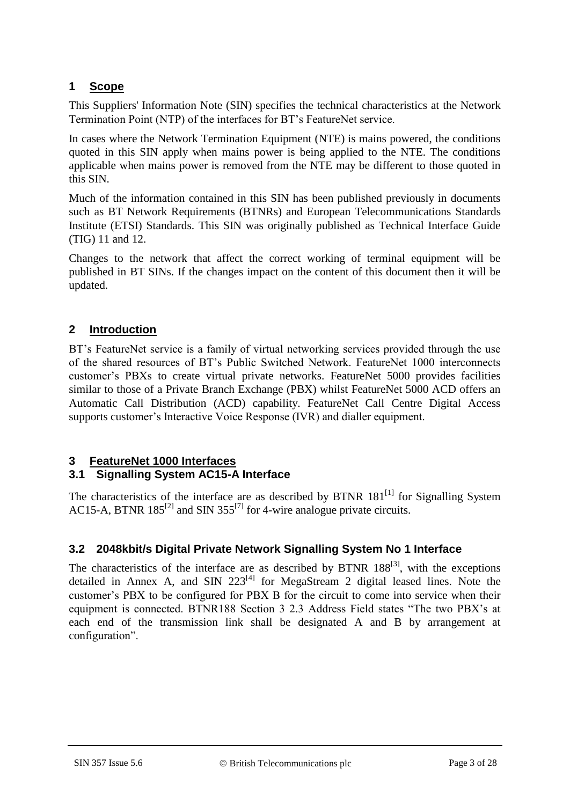# **1 Scope**

This Suppliers' Information Note (SIN) specifies the technical characteristics at the Network Termination Point (NTP) of the interfaces for BT's FeatureNet service.

In cases where the Network Termination Equipment (NTE) is mains powered, the conditions quoted in this SIN apply when mains power is being applied to the NTE. The conditions applicable when mains power is removed from the NTE may be different to those quoted in this SIN.

Much of the information contained in this SIN has been published previously in documents such as BT Network Requirements (BTNRs) and European Telecommunications Standards Institute (ETSI) Standards. This SIN was originally published as Technical Interface Guide (TIG) 11 and 12.

Changes to the network that affect the correct working of terminal equipment will be published in BT SINs. If the changes impact on the content of this document then it will be updated.

# **2 Introduction**

BT's FeatureNet service is a family of virtual networking services provided through the use of the shared resources of BT's Public Switched Network. FeatureNet 1000 interconnects customer's PBXs to create virtual private networks. FeatureNet 5000 provides facilities similar to those of a Private Branch Exchange (PBX) whilst FeatureNet 5000 ACD offers an Automatic Call Distribution (ACD) capability. FeatureNet Call Centre Digital Access supports customer's Interactive Voice Response (IVR) and dialler equipment.

# **3 FeatureNet 1000 Interfaces**

# **3.1 Signalling System AC15-A Interface**

The characteristics of the interface are as described by BTNR  $181<sup>[1]</sup>$  $181<sup>[1]</sup>$  $181<sup>[1]</sup>$  for Signalling System AC15-A, BTNR  $185^{[2]}$  $185^{[2]}$  $185^{[2]}$  and SIN 355<sup>[\[7\]](#page-12-0)</sup> for 4-wire analogue private circuits.

# **3.2 2048kbit/s Digital Private Network Signalling System No 1 Interface**

The characteristics of the interface are as described by BTNR  $188^{[3]}$  $188^{[3]}$  $188^{[3]}$ , with the exceptions detailed in Annex A, and SIN  $223^{[4]}$  $223^{[4]}$  $223^{[4]}$  for MegaStream 2 digital leased lines. Note the customer's PBX to be configured for PBX B for the circuit to come into service when their equipment is connected. BTNR188 Section 3 2.3 Address Field states "The two PBX's at each end of the transmission link shall be designated A and B by arrangement at configuration".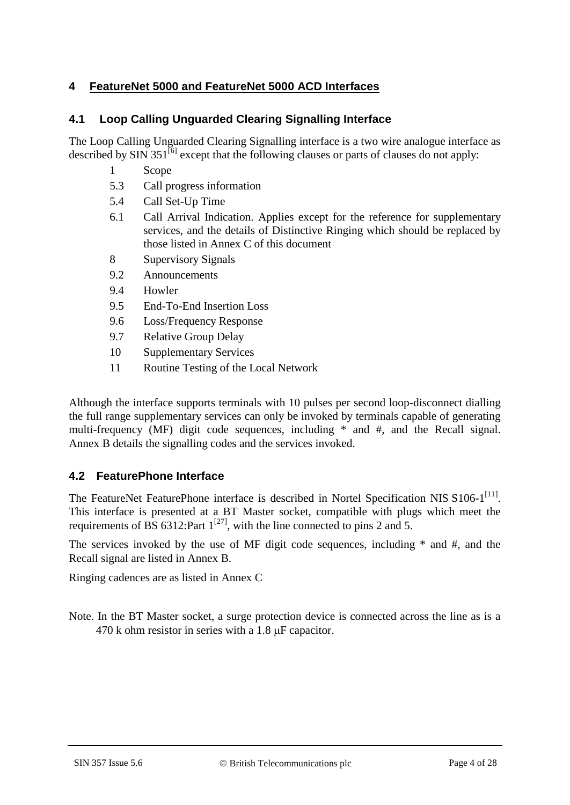# **4 FeatureNet 5000 and FeatureNet 5000 ACD Interfaces**

### **4.1 Loop Calling Unguarded Clearing Signalling Interface**

The Loop Calling Unguarded Clearing Signalling interface is a two wire analogue interface as described by SIN 351 $^{[6]}$  $^{[6]}$  $^{[6]}$  except that the following clauses or parts of clauses do not apply:

- 1 Scope
- 5.3 Call progress information
- 5.4 Call Set-Up Time
- 6.1 Call Arrival Indication. Applies except for the reference for supplementary services, and the details of Distinctive Ringing which should be replaced by those listed in Annex C of this document
- 8 Supervisory Signals
- 9.2 Announcements
- 9.4 Howler
- 9.5 End-To-End Insertion Loss
- 9.6 Loss/Frequency Response
- 9.7 Relative Group Delay
- 10 Supplementary Services
- 11 Routine Testing of the Local Network

Although the interface supports terminals with 10 pulses per second loop-disconnect dialling the full range supplementary services can only be invoked by terminals capable of generating multi-frequency (MF) digit code sequences, including \* and #, and the Recall signal. Annex B details the signalling codes and the services invoked.

### **4.2 FeaturePhone Interface**

The FeatureNet FeaturePhone interface is described in Nortel Specification NIS S106-1<sup>[\[11\]](#page-12-2)</sup>. This interface is presented at a BT Master socket, compatible with plugs which meet the requirements of BS 6312: Part  $1^{[27]}$  $1^{[27]}$  $1^{[27]}$ , with the line connected to pins 2 and 5.

The services invoked by the use of MF digit code sequences, including \* and #, and the Recall signal are listed in Annex B.

Ringing cadences are as listed in Annex C

Note. In the BT Master socket, a surge protection device is connected across the line as is a  $470$  k ohm resistor in series with a 1.8  $\mu$ F capacitor.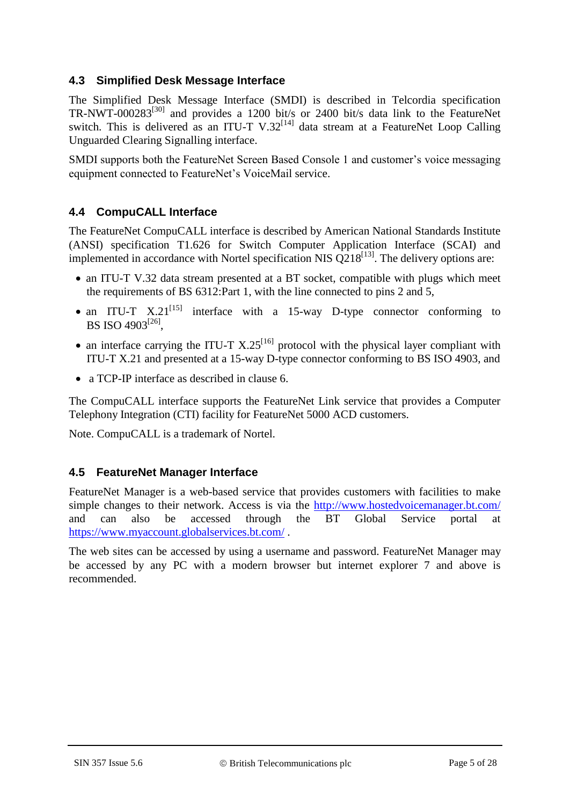### **4.3 Simplified Desk Message Interface**

The Simplified Desk Message Interface (SMDI) is described in Telcordia specification TR-NWT-000283<sup>[\[30\]](#page-13-1)</sup> and provides a 1200 bit/s or 2400 bit/s data link to the FeatureNet switch. This is delivered as an ITU-T V.32<sup>[\[14\]](#page-12-3)</sup> data stream at a FeatureNet Loop Calling Unguarded Clearing Signalling interface.

SMDI supports both the FeatureNet Screen Based Console 1 and customer's voice messaging equipment connected to FeatureNet's VoiceMail service.

### **4.4 CompuCALL Interface**

The FeatureNet CompuCALL interface is described by American National Standards Institute (ANSI) specification T1.626 for Switch Computer Application Interface (SCAI) and implemented in accordance with Nortel specification NIS  $Q218^{[13]}$  $Q218^{[13]}$  $Q218^{[13]}$ . The delivery options are:

- an ITU-T V.32 data stream presented at a BT socket, compatible with plugs which meet the requirements of BS 6312:Part 1, with the line connected to pins 2 and 5,
- an ITU-T  $X.21^{[15]}$  $X.21^{[15]}$  $X.21^{[15]}$  interface with a 15-way D-type connector conforming to BS ISO 4903 $^{[26]}$  $^{[26]}$  $^{[26]}$ ,
- an interface carrying the ITU-T  $X.25^{[16]}$  $X.25^{[16]}$  $X.25^{[16]}$  protocol with the physical layer compliant with ITU-T X.21 and presented at a 15-way D-type connector conforming to BS ISO 4903, and
- a TCP-IP interface as described in clause 6.

The CompuCALL interface supports the FeatureNet Link service that provides a Computer Telephony Integration (CTI) facility for FeatureNet 5000 ACD customers.

Note. CompuCALL is a trademark of Nortel.

### **4.5 FeatureNet Manager Interface**

FeatureNet Manager is a web-based service that provides customers with facilities to make simple changes to their network. Access is via the<http://www.hostedvoicemanager.bt.com/> and can also be accessed through the BT Global Service portal at <https://www.myaccount.globalservices.bt.com/> .

The web sites can be accessed by using a username and password. FeatureNet Manager may be accessed by any PC with a modern browser but internet explorer 7 and above is recommended.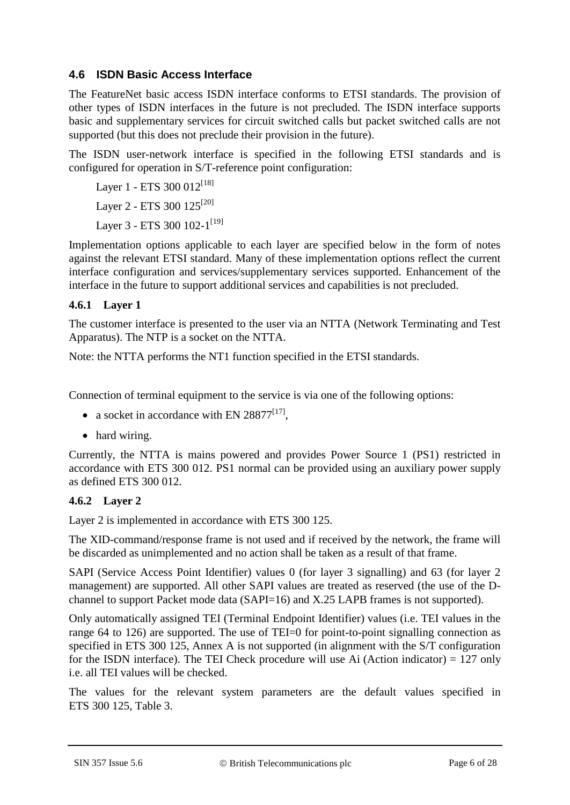### **4.6 ISDN Basic Access Interface**

The FeatureNet basic access ISDN interface conforms to ETSI standards. The provision of other types of ISDN interfaces in the future is not precluded. The ISDN interface supports basic and supplementary services for circuit switched calls but packet switched calls are not supported (but this does not preclude their provision in the future).

The ISDN user-network interface is specified in the following ETSI standards and is configured for operation in S/T-reference point configuration:

Layer 1 - ETS 300  $012^{[18]}$  $012^{[18]}$  $012^{[18]}$ Layer 2 - ETS 300  $125^{[20]}$  $125^{[20]}$  $125^{[20]}$ Layer 3 - ETS 300 102-1<sup>[\[19\]](#page-12-9)</sup>

Implementation options applicable to each layer are specified below in the form of notes against the relevant ETSI standard. Many of these implementation options reflect the current interface configuration and services/supplementary services supported. Enhancement of the interface in the future to support additional services and capabilities is not precluded.

### **4.6.1 Layer 1**

The customer interface is presented to the user via an NTTA (Network Terminating and Test Apparatus). The NTP is a socket on the NTTA.

Note: the NTTA performs the NT1 function specified in the ETSI standards.

Connection of terminal equipment to the service is via one of the following options:

- a socket in accordance with EN 28877 $[17]$ ,
- hard wiring.

Currently, the NTTA is mains powered and provides Power Source 1 (PS1) restricted in accordance with ETS 300 012. PS1 normal can be provided using an auxiliary power supply as defined ETS 300 012.

### **4.6.2 Layer 2**

Layer 2 is implemented in accordance with ETS 300 125.

The XID-command/response frame is not used and if received by the network, the frame will be discarded as unimplemented and no action shall be taken as a result of that frame.

SAPI (Service Access Point Identifier) values 0 (for layer 3 signalling) and 63 (for layer 2 management) are supported. All other SAPI values are treated as reserved (the use of the Dchannel to support Packet mode data (SAPI=16) and X.25 LAPB frames is not supported).

Only automatically assigned TEI (Terminal Endpoint Identifier) values (i.e. TEI values in the range 64 to 126) are supported. The use of TEI=0 for point-to-point signalling connection as specified in ETS 300 125, Annex A is not supported (in alignment with the S/T configuration for the ISDN interface). The TEI Check procedure will use Ai (Action indicator)  $= 127$  only i.e. all TEI values will be checked.

The values for the relevant system parameters are the default values specified in ETS 300 125, Table 3.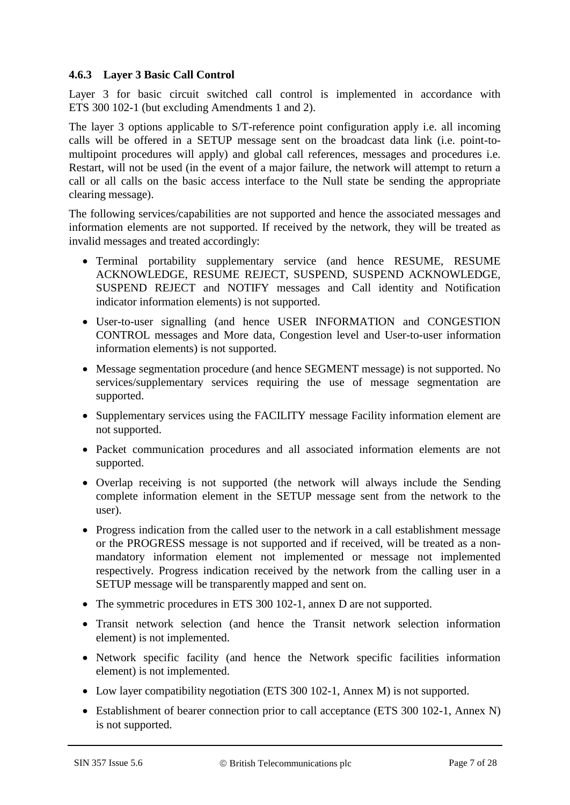#### <span id="page-6-0"></span>**4.6.3 Layer 3 Basic Call Control**

Layer 3 for basic circuit switched call control is implemented in accordance with ETS 300 102-1 (but excluding Amendments 1 and 2).

The layer 3 options applicable to S/T-reference point configuration apply i.e. all incoming calls will be offered in a SETUP message sent on the broadcast data link (i.e. point-tomultipoint procedures will apply) and global call references, messages and procedures i.e. Restart, will not be used (in the event of a major failure, the network will attempt to return a call or all calls on the basic access interface to the Null state be sending the appropriate clearing message).

The following services/capabilities are not supported and hence the associated messages and information elements are not supported. If received by the network, they will be treated as invalid messages and treated accordingly:

- Terminal portability supplementary service (and hence RESUME, RESUME ACKNOWLEDGE, RESUME REJECT, SUSPEND, SUSPEND ACKNOWLEDGE, SUSPEND REJECT and NOTIFY messages and Call identity and Notification indicator information elements) is not supported.
- User-to-user signalling (and hence USER INFORMATION and CONGESTION CONTROL messages and More data, Congestion level and User-to-user information information elements) is not supported.
- Message segmentation procedure (and hence SEGMENT message) is not supported. No services/supplementary services requiring the use of message segmentation are supported.
- Supplementary services using the FACILITY message Facility information element are not supported.
- Packet communication procedures and all associated information elements are not supported.
- Overlap receiving is not supported (the network will always include the Sending complete information element in the SETUP message sent from the network to the user).
- Progress indication from the called user to the network in a call establishment message or the PROGRESS message is not supported and if received, will be treated as a nonmandatory information element not implemented or message not implemented respectively. Progress indication received by the network from the calling user in a SETUP message will be transparently mapped and sent on.
- The symmetric procedures in ETS 300 102-1, annex D are not supported.
- Transit network selection (and hence the Transit network selection information element) is not implemented.
- Network specific facility (and hence the Network specific facilities information element) is not implemented.
- Low layer compatibility negotiation (ETS 300 102-1, Annex M) is not supported.
- Establishment of bearer connection prior to call acceptance (ETS 300 102-1, Annex N) is not supported.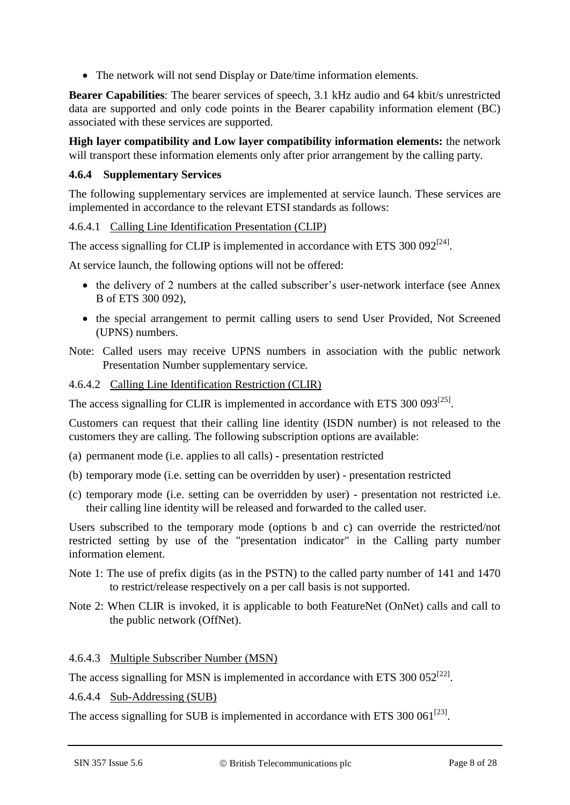The network will not send Display or Date/time information elements.

**Bearer Capabilities**: The bearer services of speech, 3.1 kHz audio and 64 kbit/s unrestricted data are supported and only code points in the Bearer capability information element (BC) associated with these services are supported.

**High layer compatibility and Low layer compatibility information elements:** the network will transport these information elements only after prior arrangement by the calling party.

#### **4.6.4 Supplementary Services**

The following supplementary services are implemented at service launch. These services are implemented in accordance to the relevant ETSI standards as follows:

#### 4.6.4.1 Calling Line Identification Presentation (CLIP)

The access signalling for CLIP is implemented in accordance with ETS 300 092<sup>[\[24\]](#page-13-3)</sup>.

At service launch, the following options will not be offered:

- the delivery of 2 numbers at the called subscriber's user-network interface (see Annex B of ETS 300 092),
- the special arrangement to permit calling users to send User Provided, Not Screened (UPNS) numbers.

Note: Called users may receive UPNS numbers in association with the public network Presentation Number supplementary service.

#### 4.6.4.2 Calling Line Identification Restriction (CLIR)

The access signalling for CLIR is implemented in accordance with ETS  $300\,093^{[25]}$  $300\,093^{[25]}$  $300\,093^{[25]}$ .

Customers can request that their calling line identity (ISDN number) is not released to the customers they are calling. The following subscription options are available:

- (a) permanent mode (i.e. applies to all calls) presentation restricted
- (b) temporary mode (i.e. setting can be overridden by user) presentation restricted
- (c) temporary mode (i.e. setting can be overridden by user) presentation not restricted i.e. their calling line identity will be released and forwarded to the called user.

Users subscribed to the temporary mode (options b and c) can override the restricted/not restricted setting by use of the "presentation indicator" in the Calling party number information element.

- Note 1: The use of prefix digits (as in the PSTN) to the called party number of 141 and 1470 to restrict/release respectively on a per call basis is not supported.
- Note 2: When CLIR is invoked, it is applicable to both FeatureNet (OnNet) calls and call to the public network (OffNet).

### 4.6.4.3 Multiple Subscriber Number (MSN)

The access signalling for MSN is implemented in accordance with ETS 300 052<sup>[\[22\]](#page-13-5)</sup>.

4.6.4.4 Sub-Addressing (SUB)

The access signalling for SUB is implemented in accordance with ETS 300 061 $^{[23]}$  $^{[23]}$  $^{[23]}$ .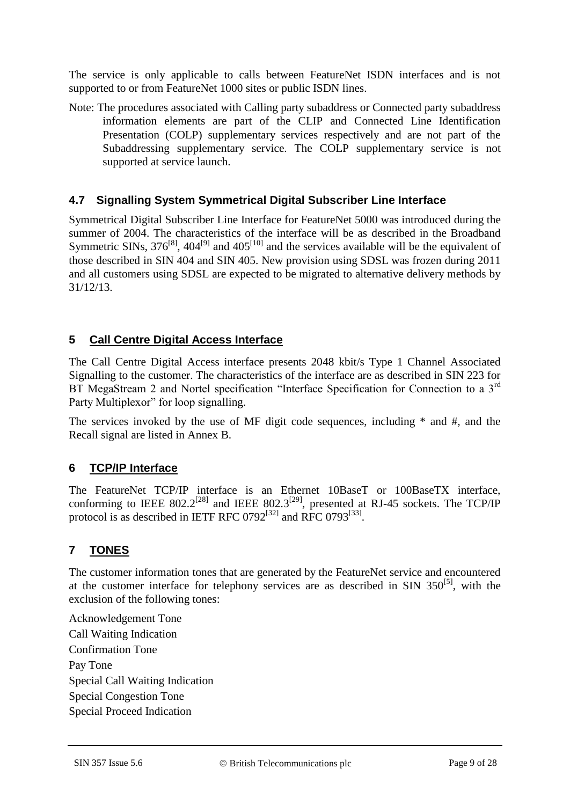The service is only applicable to calls between FeatureNet ISDN interfaces and is not supported to or from FeatureNet 1000 sites or public ISDN lines.

Note: The procedures associated with Calling party subaddress or Connected party subaddress information elements are part of the CLIP and Connected Line Identification Presentation (COLP) supplementary services respectively and are not part of the Subaddressing supplementary service. The COLP supplementary service is not supported at service launch.

### **4.7 Signalling System Symmetrical Digital Subscriber Line Interface**

Symmetrical Digital Subscriber Line Interface for FeatureNet 5000 was introduced during the summer of 2004. The characteristics of the interface will be as described in the Broadband Symmetric SINs,  $376^{[8]}$  $376^{[8]}$  $376^{[8]}$ ,  $404^{[9]}$  $404^{[9]}$  $404^{[9]}$  and  $405^{[10]}$  $405^{[10]}$  $405^{[10]}$  and the services available will be the equivalent of those described in SIN 404 and SIN 405. New provision using SDSL was frozen during 2011 and all customers using SDSL are expected to be migrated to alternative delivery methods by 31/12/13.

# **5 Call Centre Digital Access Interface**

The Call Centre Digital Access interface presents 2048 kbit/s Type 1 Channel Associated Signalling to the customer. The characteristics of the interface are as described in SIN 223 for BT MegaStream 2 and Nortel specification "Interface Specification for Connection to a 3<sup>rd</sup> Party Multiplexor" for loop signalling.

The services invoked by the use of MF digit code sequences, including \* and #, and the Recall signal are listed in Annex B.

# **6 TCP/IP Interface**

The FeatureNet TCP/IP interface is an Ethernet 10BaseT or 100BaseTX interface, conforming to IEEE 802.2<sup>[\[28\]](#page-13-7)</sup> and IEEE 802.3<sup>[\[29\]](#page-13-8)</sup>, presented at RJ-45 sockets. The TCP/IP protocol is as described in IETF RFC  $0792^{[32]}$  $0792^{[32]}$  $0792^{[32]}$  and RFC  $0793^{[33]}$  $0793^{[33]}$  $0793^{[33]}$ .

# **7 TONES**

The customer information tones that are generated by the FeatureNet service and encountered at the customer interface for telephony services are as described in SIN  $350^{5}$ , with the exclusion of the following tones:

Acknowledgement Tone Call Waiting Indication Confirmation Tone Pay Tone Special Call Waiting Indication Special Congestion Tone Special Proceed Indication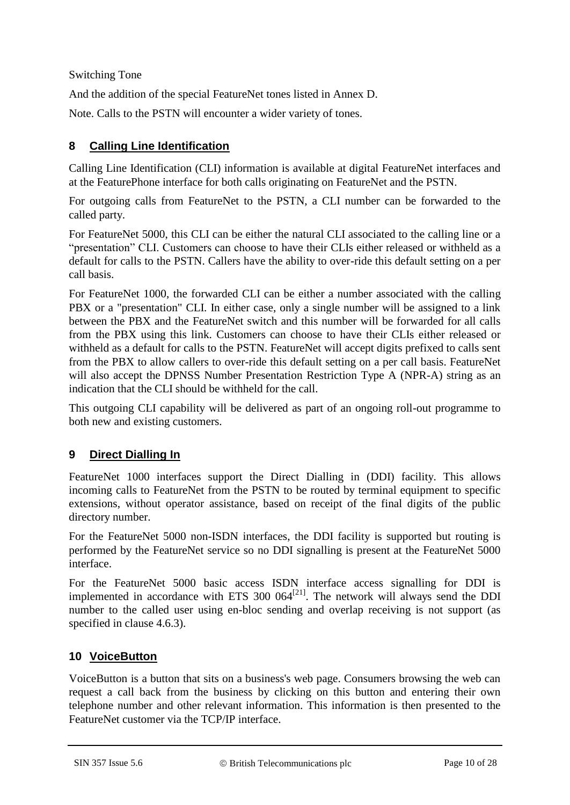Switching Tone

And the addition of the special FeatureNet tones listed in Annex D.

Note. Calls to the PSTN will encounter a wider variety of tones.

# **8 Calling Line Identification**

Calling Line Identification (CLI) information is available at digital FeatureNet interfaces and at the FeaturePhone interface for both calls originating on FeatureNet and the PSTN.

For outgoing calls from FeatureNet to the PSTN, a CLI number can be forwarded to the called party.

For FeatureNet 5000, this CLI can be either the natural CLI associated to the calling line or a "presentation" CLI. Customers can choose to have their CLIs either released or withheld as a default for calls to the PSTN. Callers have the ability to over-ride this default setting on a per call basis.

For FeatureNet 1000, the forwarded CLI can be either a number associated with the calling PBX or a "presentation" CLI. In either case, only a single number will be assigned to a link between the PBX and the FeatureNet switch and this number will be forwarded for all calls from the PBX using this link. Customers can choose to have their CLIs either released or withheld as a default for calls to the PSTN. FeatureNet will accept digits prefixed to calls sent from the PBX to allow callers to over-ride this default setting on a per call basis. FeatureNet will also accept the DPNSS Number Presentation Restriction Type A (NPR-A) string as an indication that the CLI should be withheld for the call.

This outgoing CLI capability will be delivered as part of an ongoing roll-out programme to both new and existing customers.

# **9 Direct Dialling In**

FeatureNet 1000 interfaces support the Direct Dialling in (DDI) facility. This allows incoming calls to FeatureNet from the PSTN to be routed by terminal equipment to specific extensions, without operator assistance, based on receipt of the final digits of the public directory number.

For the FeatureNet 5000 non-ISDN interfaces, the DDI facility is supported but routing is performed by the FeatureNet service so no DDI signalling is present at the FeatureNet 5000 interface.

For the FeatureNet 5000 basic access ISDN interface access signalling for DDI is implemented in accordance with ETS 300  $064^{[21]}$  $064^{[21]}$  $064^{[21]}$ . The network will always send the DDI number to the called user using en-bloc sending and overlap receiving is not support (as specified in clause [4.6.3\)](#page-6-0).

# **10 VoiceButton**

VoiceButton is a button that sits on a business's web page. Consumers browsing the web can request a call back from the business by clicking on this button and entering their own telephone number and other relevant information. This information is then presented to the FeatureNet customer via the TCP/IP interface.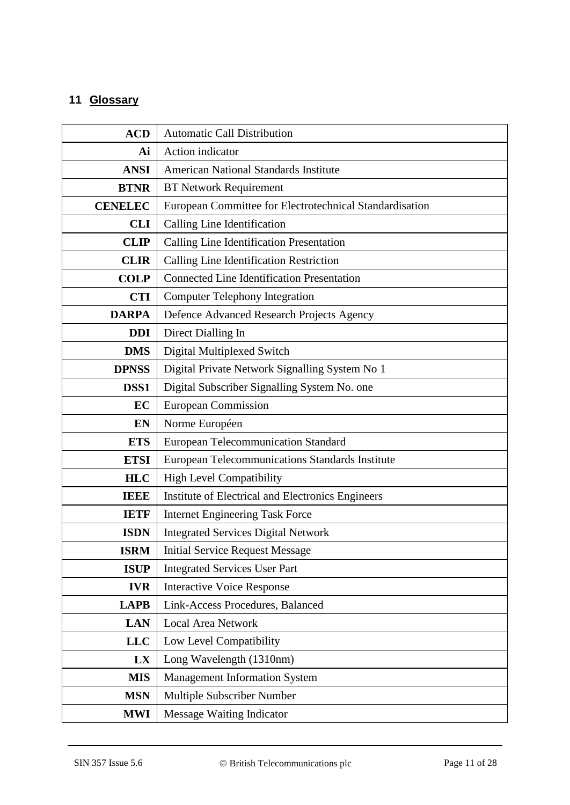# **11 Glossary**

| <b>ACD</b>     | <b>Automatic Call Distribution</b>                      |  |  |  |
|----------------|---------------------------------------------------------|--|--|--|
| Ai             | Action indicator                                        |  |  |  |
| <b>ANSI</b>    | <b>American National Standards Institute</b>            |  |  |  |
| <b>BTNR</b>    | <b>BT Network Requirement</b>                           |  |  |  |
| <b>CENELEC</b> | European Committee for Electrotechnical Standardisation |  |  |  |
| <b>CLI</b>     | Calling Line Identification                             |  |  |  |
| <b>CLIP</b>    | Calling Line Identification Presentation                |  |  |  |
| <b>CLIR</b>    | Calling Line Identification Restriction                 |  |  |  |
| <b>COLP</b>    | <b>Connected Line Identification Presentation</b>       |  |  |  |
| <b>CTI</b>     | <b>Computer Telephony Integration</b>                   |  |  |  |
| <b>DARPA</b>   | Defence Advanced Research Projects Agency               |  |  |  |
| <b>DDI</b>     | Direct Dialling In                                      |  |  |  |
| <b>DMS</b>     | Digital Multiplexed Switch                              |  |  |  |
| <b>DPNSS</b>   | Digital Private Network Signalling System No 1          |  |  |  |
| DSS1           | Digital Subscriber Signalling System No. one            |  |  |  |
| EC             | <b>European Commission</b>                              |  |  |  |
| EN             | Norme Européen                                          |  |  |  |
| <b>ETS</b>     | <b>European Telecommunication Standard</b>              |  |  |  |
| <b>ETSI</b>    | European Telecommunications Standards Institute         |  |  |  |
| <b>HLC</b>     | <b>High Level Compatibility</b>                         |  |  |  |
| <b>IEEE</b>    | Institute of Electrical and Electronics Engineers       |  |  |  |
| <b>IETF</b>    | <b>Internet Engineering Task Force</b>                  |  |  |  |
| <b>ISDN</b>    | <b>Integrated Services Digital Network</b>              |  |  |  |
| <b>ISRM</b>    | <b>Initial Service Request Message</b>                  |  |  |  |
| <b>ISUP</b>    | <b>Integrated Services User Part</b>                    |  |  |  |
| <b>IVR</b>     | <b>Interactive Voice Response</b>                       |  |  |  |
| <b>LAPB</b>    | Link-Access Procedures, Balanced                        |  |  |  |
| <b>LAN</b>     | <b>Local Area Network</b>                               |  |  |  |
| <b>LLC</b>     | Low Level Compatibility                                 |  |  |  |
| LX             | Long Wavelength (1310nm)                                |  |  |  |
| <b>MIS</b>     | <b>Management Information System</b>                    |  |  |  |
| <b>MSN</b>     | Multiple Subscriber Number                              |  |  |  |
| <b>MWI</b>     | <b>Message Waiting Indicator</b>                        |  |  |  |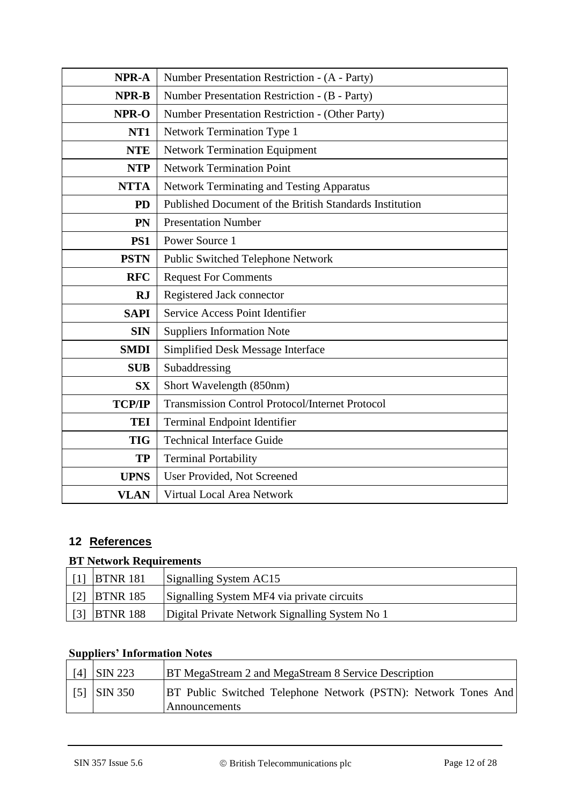| NPR-A           | Number Presentation Restriction - (A - Party)           |  |  |  |
|-----------------|---------------------------------------------------------|--|--|--|
| <b>NPR-B</b>    | Number Presentation Restriction - (B - Party)           |  |  |  |
| NPR-O           | Number Presentation Restriction - (Other Party)         |  |  |  |
| NT <sub>1</sub> | <b>Network Termination Type 1</b>                       |  |  |  |
| <b>NTE</b>      | <b>Network Termination Equipment</b>                    |  |  |  |
| <b>NTP</b>      | <b>Network Termination Point</b>                        |  |  |  |
| <b>NTTA</b>     | Network Terminating and Testing Apparatus               |  |  |  |
| <b>PD</b>       | Published Document of the British Standards Institution |  |  |  |
| PN              | <b>Presentation Number</b>                              |  |  |  |
| PS1             | Power Source 1                                          |  |  |  |
| <b>PSTN</b>     | Public Switched Telephone Network                       |  |  |  |
| <b>RFC</b>      | <b>Request For Comments</b>                             |  |  |  |
| <b>RJ</b>       | Registered Jack connector                               |  |  |  |
| <b>SAPI</b>     | Service Access Point Identifier                         |  |  |  |
| <b>SIN</b>      | <b>Suppliers Information Note</b>                       |  |  |  |
| <b>SMDI</b>     | Simplified Desk Message Interface                       |  |  |  |
| <b>SUB</b>      | Subaddressing                                           |  |  |  |
| <b>SX</b>       | Short Wavelength (850nm)                                |  |  |  |
| <b>TCP/IP</b>   | <b>Transmission Control Protocol/Internet Protocol</b>  |  |  |  |
| <b>TEI</b>      | <b>Terminal Endpoint Identifier</b>                     |  |  |  |
| <b>TIG</b>      | <b>Technical Interface Guide</b>                        |  |  |  |
| <b>TP</b>       | <b>Terminal Portability</b>                             |  |  |  |
| <b>UPNS</b>     | User Provided, Not Screened                             |  |  |  |
| <b>VLAN</b>     | Virtual Local Area Network                              |  |  |  |

# **12 References**

# **BT Network Requirements**

<span id="page-11-2"></span><span id="page-11-1"></span><span id="page-11-0"></span>

|            | $\mid$ [1] BTNR 181 | Signalling System AC15                         |
|------------|---------------------|------------------------------------------------|
|            | $[2]$ BTNR 185      | Signalling System MF4 via private circuits     |
| $\sqrt{3}$ | <b>BTNR 188</b>     | Digital Private Network Signalling System No 1 |

# **Suppliers' Information Notes**

<span id="page-11-4"></span><span id="page-11-3"></span>

| [4] | <b>SIN 223</b> | <b>BT MegaStream 2 and MegaStream 8 Service Description</b>                            |
|-----|----------------|----------------------------------------------------------------------------------------|
|     | $[5]$ SIN 350  | <b>BT Public Switched Telephone Network (PSTN): Network Tones And</b><br>Announcements |
|     |                |                                                                                        |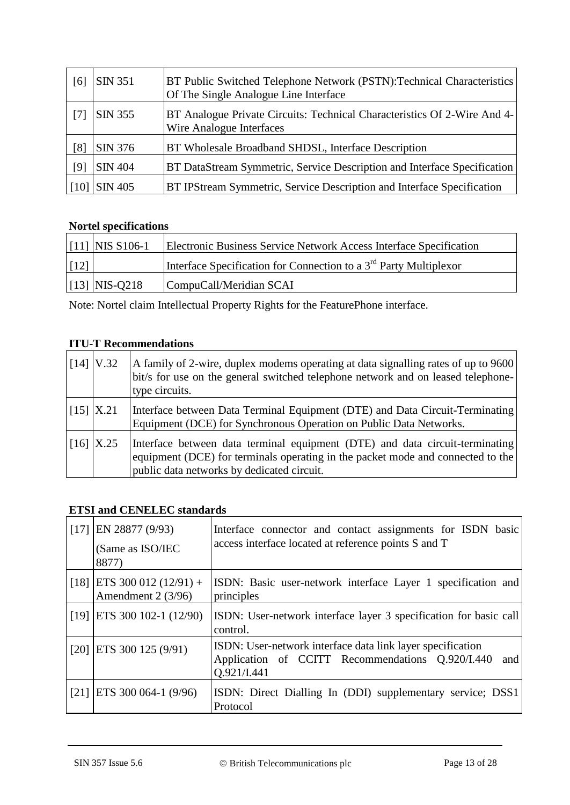<span id="page-12-11"></span><span id="page-12-1"></span><span id="page-12-0"></span>

| [6]               | <b>SIN 351</b> | BT Public Switched Telephone Network (PSTN): Technical Characteristics<br>Of The Single Analogue Line Interface |
|-------------------|----------------|-----------------------------------------------------------------------------------------------------------------|
| $\lceil 7 \rceil$ | <b>SIN 355</b> | BT Analogue Private Circuits: Technical Characteristics Of 2-Wire And 4-<br>Wire Analogue Interfaces            |
| [8]               | SIN 376        | BT Wholesale Broadband SHDSL, Interface Description                                                             |
| [9]               | <b>SIN 404</b> | BT DataStream Symmetric, Service Description and Interface Specification                                        |
| 110 <sup>-</sup>  | <b>SIN 405</b> | BT IPStream Symmetric, Service Description and Interface Specification                                          |

# <span id="page-12-13"></span><span id="page-12-12"></span>**Nortel specifications**

<span id="page-12-2"></span>

|                      | $\vert$ [11] NIS S106-1 | Electronic Business Service Network Access Interface Specification            |
|----------------------|-------------------------|-------------------------------------------------------------------------------|
| $\lfloor 12 \rfloor$ |                         | Interface Specification for Connection to a 3 <sup>rd</sup> Party Multiplexor |
|                      | $[13]$ NIS-Q218         | CompuCall/Meridian SCAI                                                       |

<span id="page-12-4"></span>Note: Nortel claim Intellectual Property Rights for the FeaturePhone interface.

# **ITU-T Recommendations**

<span id="page-12-5"></span><span id="page-12-3"></span>

|                        | $\left[14\right]$   V.32                          | A family of 2-wire, duplex modems operating at data signalling rates of up to 9600<br>bit/s for use on the general switched telephone network and on leased telephone-<br>type circuits.                      |
|------------------------|---------------------------------------------------|---------------------------------------------------------------------------------------------------------------------------------------------------------------------------------------------------------------|
| $\left[15\right]$ X.21 |                                                   | Interface between Data Terminal Equipment (DTE) and Data Circuit-Terminating<br>Equipment (DCE) for Synchronous Operation on Public Data Networks.                                                            |
|                        | $\left  \right  16 \right $ $\left  X.25 \right $ | Interface between data terminal equipment (DTE) and data circuit-terminating<br>equipment (DCE) for terminals operating in the packet mode and connected to the<br>public data networks by dedicated circuit. |

### <span id="page-12-6"></span>**ETSI and CENELEC standards**

<span id="page-12-14"></span><span id="page-12-10"></span><span id="page-12-9"></span><span id="page-12-8"></span><span id="page-12-7"></span>

| $\lceil 17 \rceil$ | EN 28877 (9/93)<br>(Same as ISO/IEC<br>8877)       | Interface connector and contact assignments for ISDN basic<br>access interface located at reference points S and T                   |
|--------------------|----------------------------------------------------|--------------------------------------------------------------------------------------------------------------------------------------|
|                    | $[18]$ ETS 300 012 (12/91) +<br>Amendment 2 (3/96) | ISDN: Basic user-network interface Layer 1 specification and<br>principles                                                           |
|                    | $[19]$ ETS 300 102-1 (12/90)                       | ISDN: User-network interface layer 3 specification for basic call<br>control.                                                        |
|                    | $[20]$ ETS 300 125 (9/91)                          | ISDN: User-network interface data link layer specification<br>Application of CCITT Recommendations Q.920/I.440<br>and<br>Q.921/I.441 |
|                    | $[21]$ ETS 300 064-1 (9/96)                        | ISDN: Direct Dialling In (DDI) supplementary service; DSS1<br>Protocol                                                               |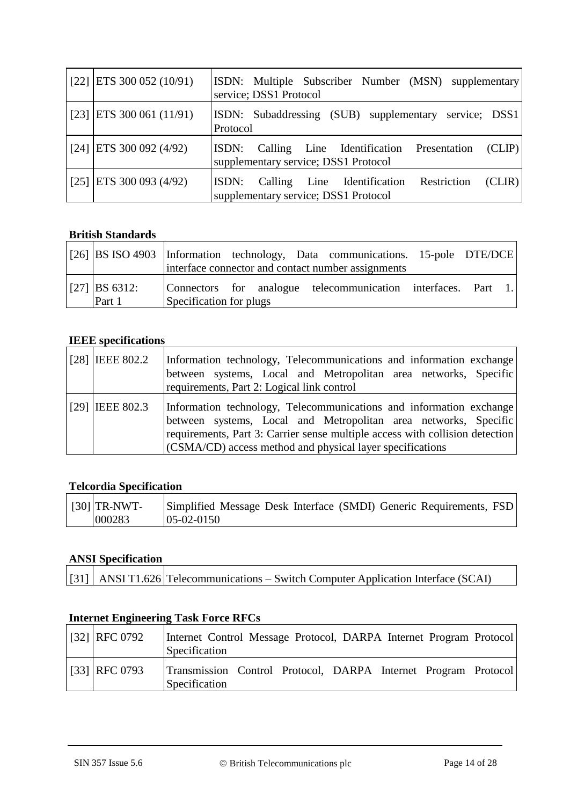<span id="page-13-6"></span><span id="page-13-5"></span><span id="page-13-3"></span>

| $\vert$ [22] $\vert$ ETS 300 052 (10/91) | ISDN: Multiple Subscriber Number (MSN) supplementary<br>service; DSS1 Protocol                   |
|------------------------------------------|--------------------------------------------------------------------------------------------------|
| $\vert$ [23] $\vert$ ETS 300 061 (11/91) | ISDN: Subaddressing (SUB) supplementary service; DSS1<br>Protocol                                |
| $\vert$ [24] $\vert$ ETS 300 092 (4/92)  | (CLIP)<br>ISDN: Calling Line Identification Presentation<br>supplementary service; DSS1 Protocol |
| $\vert$ [25] $\vert$ ETS 300 093 (4/92)  | ISDN: Calling Line Identification Restriction<br>(CLIR)<br>supplementary service; DSS1 Protocol  |

# <span id="page-13-4"></span>**British Standards**

<span id="page-13-2"></span><span id="page-13-0"></span>

|                           |                         |  | [[26] BS ISO 4903 Information technology, Data communications. 15-pole DTE/DCE |  |  |
|---------------------------|-------------------------|--|--------------------------------------------------------------------------------|--|--|
|                           |                         |  | interface connector and contact number assignments                             |  |  |
| $ 27 $ BS 6312:<br>Part 1 | Specification for plugs |  | Connectors for analogue telecommunication interfaces. Part 1.                  |  |  |

### **IEEE specifications**

<span id="page-13-8"></span><span id="page-13-7"></span>

| $[28]$ IEEE 802.2 | Information technology, Telecommunications and information exchange<br>between systems, Local and Metropolitan area networks, Specific<br>requirements, Part 2: Logical link control                                                                                                |
|-------------------|-------------------------------------------------------------------------------------------------------------------------------------------------------------------------------------------------------------------------------------------------------------------------------------|
| $[29]$ IEEE 802.3 | Information technology, Telecommunications and information exchange<br>between systems, Local and Metropolitan area networks, Specific<br>requirements, Part 3: Carrier sense multiple access with collision detection<br>(CSMA/CD) access method and physical layer specifications |

### **Telcordia Specification**

<span id="page-13-1"></span>

| $\vert$ [30] TR-NWT- | Simplified Message Desk Interface (SMDI) Generic Requirements, FSD |  |  |  |
|----------------------|--------------------------------------------------------------------|--|--|--|
| 000283               | $05-02-0150$                                                       |  |  |  |

### **ANSI Specification**

| [31] ANSI T1.626 Telecommunications – Switch Computer Application Interface (SCAI) |  |
|------------------------------------------------------------------------------------|--|

# **Internet Engineering Task Force RFCs**

<span id="page-13-10"></span><span id="page-13-9"></span>

| [32] RFC 0792 | Internet Control Message Protocol, DARPA Internet Program Protocol<br>Specification |  |  |  |
|---------------|-------------------------------------------------------------------------------------|--|--|--|
| [33] RFC 0793 | Transmission Control Protocol, DARPA Internet Program Protocol<br>Specification     |  |  |  |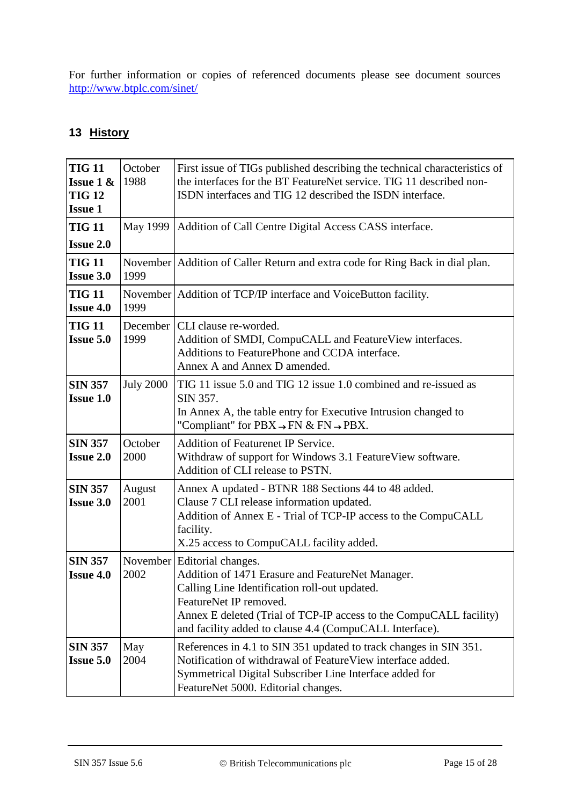For further information or copies of referenced documents please see document sources <http://www.btplc.com/sinet/>

# **13 History**

| <b>TIG 11</b><br><b>Issue 1 &amp;</b><br><b>TIG 12</b><br><b>Issue 1</b> | October<br>1988    | First issue of TIGs published describing the technical characteristics of<br>the interfaces for the BT FeatureNet service. TIG 11 described non-<br>ISDN interfaces and TIG 12 described the ISDN interface.                                                                                  |
|--------------------------------------------------------------------------|--------------------|-----------------------------------------------------------------------------------------------------------------------------------------------------------------------------------------------------------------------------------------------------------------------------------------------|
| <b>TIG 11</b><br><b>Issue 2.0</b>                                        |                    | May 1999   Addition of Call Centre Digital Access CASS interface.                                                                                                                                                                                                                             |
| <b>TIG 11</b><br><b>Issue 3.0</b>                                        | 1999               | November   Addition of Caller Return and extra code for Ring Back in dial plan.                                                                                                                                                                                                               |
| <b>TIG 11</b><br><b>Issue 4.0</b>                                        | 1999               | November   Addition of TCP/IP interface and VoiceButton facility.                                                                                                                                                                                                                             |
| <b>TIG 11</b><br><b>Issue 5.0</b>                                        | December  <br>1999 | CLI clause re-worded.<br>Addition of SMDI, CompuCALL and FeatureView interfaces.<br>Additions to FeaturePhone and CCDA interface.<br>Annex A and Annex D amended.                                                                                                                             |
| <b>SIN 357</b><br><b>Issue 1.0</b>                                       | <b>July 2000</b>   | TIG 11 issue 5.0 and TIG 12 issue 1.0 combined and re-issued as<br>SIN 357.<br>In Annex A, the table entry for Executive Intrusion changed to<br>"Compliant" for $\text{PBX} \rightarrow \text{FN} \& \text{FN} \rightarrow \text{PBX}.$                                                      |
| <b>SIN 357</b><br><b>Issue 2.0</b>                                       | October<br>2000    | <b>Addition of Featurenet IP Service.</b><br>Withdraw of support for Windows 3.1 Feature View software.<br>Addition of CLI release to PSTN.                                                                                                                                                   |
| <b>SIN 357</b><br><b>Issue 3.0</b>                                       | August<br>2001     | Annex A updated - BTNR 188 Sections 44 to 48 added.<br>Clause 7 CLI release information updated.<br>Addition of Annex E - Trial of TCP-IP access to the CompuCALL<br>facility.<br>X.25 access to CompuCALL facility added.                                                                    |
| <b>SIN 357</b><br><b>Issue 4.0</b>                                       | 2002               | November   Editorial changes.<br>Addition of 1471 Erasure and FeatureNet Manager.<br>Calling Line Identification roll-out updated.<br>FeatureNet IP removed.<br>Annex E deleted (Trial of TCP-IP access to the CompuCALL facility)<br>and facility added to clause 4.4 (CompuCALL Interface). |
| <b>SIN 357</b><br><b>Issue 5.0</b>                                       | May<br>2004        | References in 4.1 to SIN 351 updated to track changes in SIN 351.<br>Notification of withdrawal of FeatureView interface added.<br>Symmetrical Digital Subscriber Line Interface added for<br>FeatureNet 5000. Editorial changes.                                                             |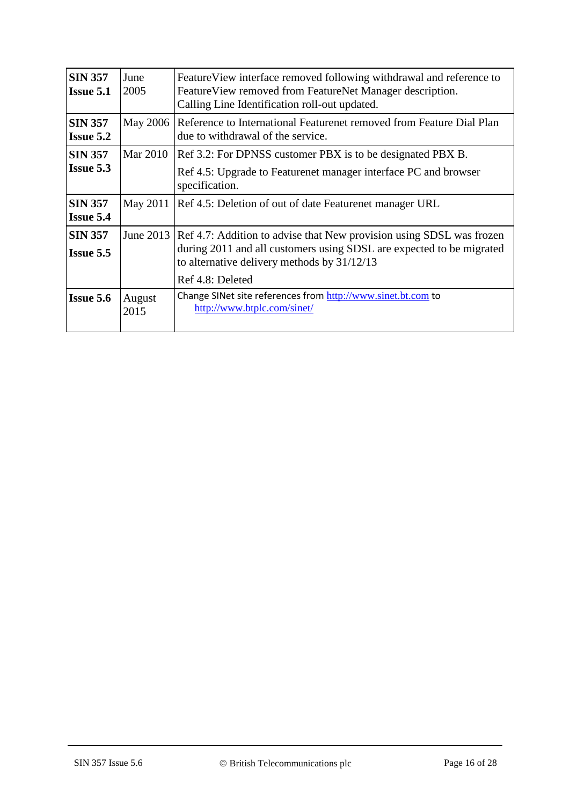| <b>SIN 357</b><br><b>Issue 5.1</b> | June<br>2005   | Feature View interface removed following withdrawal and reference to<br>Feature View removed from FeatureNet Manager description.<br>Calling Line Identification roll-out updated.            |
|------------------------------------|----------------|-----------------------------------------------------------------------------------------------------------------------------------------------------------------------------------------------|
| <b>SIN 357</b><br><b>Issue 5.2</b> | May 2006       | Reference to International Featurenet removed from Feature Dial Plan<br>due to withdrawal of the service.                                                                                     |
| <b>SIN 357</b>                     | Mar 2010       | Ref 3.2: For DPNSS customer PBX is to be designated PBX B.                                                                                                                                    |
| <b>Issue 5.3</b>                   |                | Ref 4.5: Upgrade to Featurenet manager interface PC and browser<br>specification.                                                                                                             |
| <b>SIN 357</b><br><b>Issue 5.4</b> | May 2011       | Ref 4.5: Deletion of out of date Featurenet manager URL                                                                                                                                       |
| <b>SIN 357</b><br><b>Issue 5.5</b> | June 2013      | Ref 4.7: Addition to advise that New provision using SDSL was frozen<br>during 2011 and all customers using SDSL are expected to be migrated<br>to alternative delivery methods by $31/12/13$ |
|                                    |                | Ref 4.8: Deleted                                                                                                                                                                              |
| <b>Issue 5.6</b>                   | August<br>2015 | Change SINet site references from http://www.sinet.bt.com to<br>http://www.btplc.com/sinet/                                                                                                   |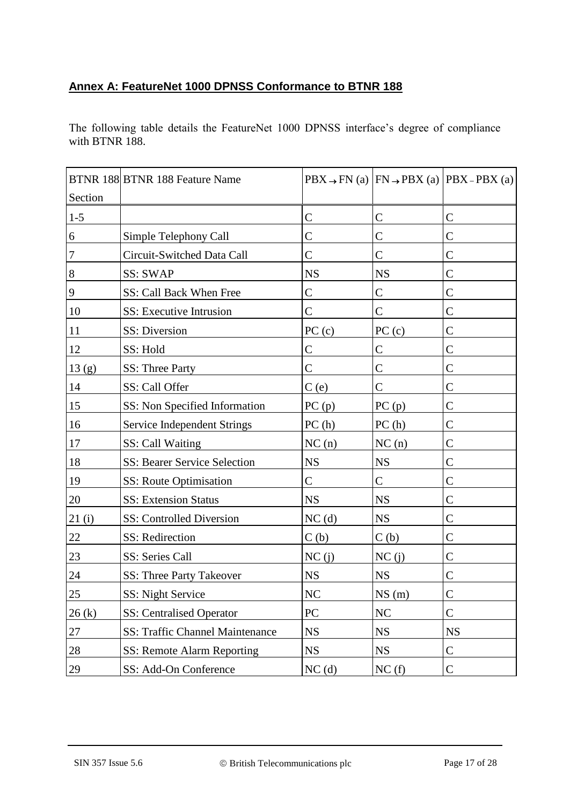# **Annex A: FeatureNet 1000 DPNSS Conformance to BTNR 188**

The following table details the FeatureNet 1000 DPNSS interface's degree of compliance with BTNR 188.

|                  | BTNR 188 BTNR 188 Feature Name         |                   |               | $PBX \rightarrow FN$ (a) $ FN \rightarrow PBX$ (a) $ PBX - PBX$ (a) |
|------------------|----------------------------------------|-------------------|---------------|---------------------------------------------------------------------|
| Section          |                                        |                   |               |                                                                     |
| $1 - 5$          |                                        | $\mathcal{C}$     | $\mathsf{C}$  | $\mathsf{C}$                                                        |
| $\sqrt{6}$       | Simple Telephony Call                  | $\mathcal{C}$     | $\mathcal{C}$ | $\mathsf{C}$                                                        |
| $\boldsymbol{7}$ | Circuit-Switched Data Call             | $\mathcal{C}$     | $\mathcal{C}$ | $\mathsf{C}$                                                        |
| $\,8\,$          | <b>SS: SWAP</b>                        | <b>NS</b>         | <b>NS</b>     | $\mathcal{C}$                                                       |
| $\overline{9}$   | SS: Call Back When Free                | $\mathcal{C}$     | $\mathcal{C}$ | $\mathsf{C}$                                                        |
| 10               | SS: Executive Intrusion                | $\mathcal{C}$     | $\mathcal{C}$ | $\mathcal{C}$                                                       |
| 11               | SS: Diversion                          | PC(c)             | PC(c)         | $\mathcal{C}$                                                       |
| 12               | SS: Hold                               | $\mathcal{C}$     | $\mathcal{C}$ | $\mathcal{C}$                                                       |
| 13(g)            | SS: Three Party                        | $\mathcal{C}$     | $\mathsf{C}$  | C                                                                   |
| 14               | SS: Call Offer                         | C(e)              | $\mathsf{C}$  | $\mathsf{C}$                                                        |
| 15               | SS: Non Specified Information          | PC(p)             | PC(p)         | $\mathcal{C}$                                                       |
| 16               | <b>Service Independent Strings</b>     | PC(h)             | PC(h)         | $\mathsf{C}$                                                        |
| 17               | SS: Call Waiting                       | NC(n)             | NC(n)         | $\mathcal{C}$                                                       |
| 18               | <b>SS: Bearer Service Selection</b>    | <b>NS</b>         | <b>NS</b>     | $\mathcal{C}$                                                       |
| 19               | SS: Route Optimisation                 | $\mathcal{C}$     | $\mathsf{C}$  | $\mathsf{C}$                                                        |
| 20               | <b>SS: Extension Status</b>            | <b>NS</b>         | <b>NS</b>     | $\mathsf{C}$                                                        |
| 21(i)            | SS: Controlled Diversion               | NC <sub>(d)</sub> | <b>NS</b>     | $\mathcal{C}$                                                       |
| 22               | SS: Redirection                        | C(b)              | C(b)          | $\mathcal{C}$                                                       |
| 23               | SS: Series Call                        | NC(j)             | NC(j)         | $\mathsf{C}$                                                        |
| $24\,$           | SS: Three Party Takeover               | <b>NS</b>         | <b>NS</b>     | $\mathsf{C}$                                                        |
| 25               | SS: Night Service                      | $\rm NC$          | NS(m)         | $\mathbf C$                                                         |
| 26(k)            | <b>SS:</b> Centralised Operator        | PC                | NC            | $\mathsf{C}$                                                        |
| 27               | <b>SS: Traffic Channel Maintenance</b> | <b>NS</b>         | <b>NS</b>     | <b>NS</b>                                                           |
| 28               | SS: Remote Alarm Reporting             | <b>NS</b>         | <b>NS</b>     | $\mathsf{C}$                                                        |
| 29               | SS: Add-On Conference                  | NC(d)             | NC(f)         | $\mathsf{C}$                                                        |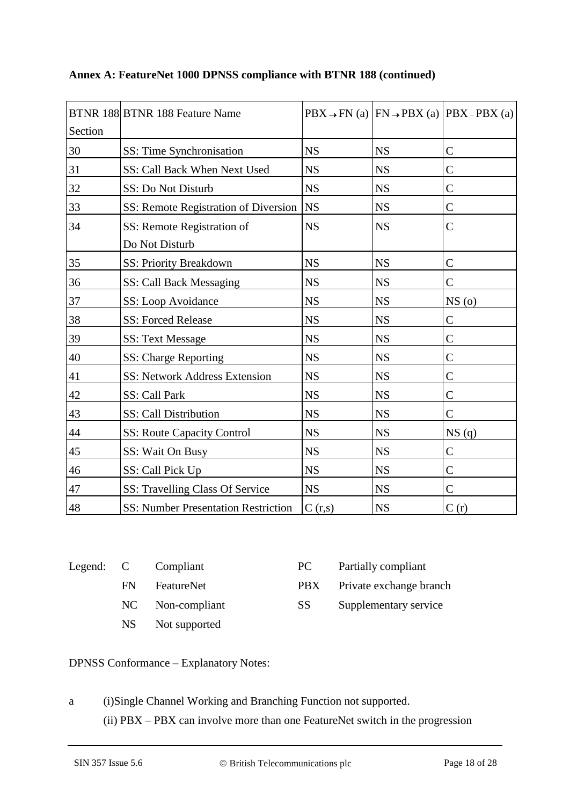| Section | BTNR 188 BTNR 188 Feature Name               |           |           | $\overrightarrow{PBX} \rightarrow \overrightarrow{FN}$ (a) $\overrightarrow{FN} \rightarrow \overrightarrow{PBX}$ (a) $\overrightarrow{PBX}$ – $\overrightarrow{PBX}$ (a) |
|---------|----------------------------------------------|-----------|-----------|---------------------------------------------------------------------------------------------------------------------------------------------------------------------------|
| 30      | SS: Time Synchronisation                     | <b>NS</b> | <b>NS</b> | $\mathcal{C}$                                                                                                                                                             |
| 31      | SS: Call Back When Next Used                 | <b>NS</b> | <b>NS</b> | $\mathsf{C}$                                                                                                                                                              |
| 32      | SS: Do Not Disturb                           | <b>NS</b> | <b>NS</b> | $\mathcal{C}$                                                                                                                                                             |
| 33      | SS: Remote Registration of Diversion         | <b>NS</b> | <b>NS</b> | $\mathsf{C}$                                                                                                                                                              |
| 34      | SS: Remote Registration of<br>Do Not Disturb | <b>NS</b> | <b>NS</b> | $\mathcal{C}$                                                                                                                                                             |
| 35      | SS: Priority Breakdown                       | <b>NS</b> | <b>NS</b> | $\mathcal{C}$                                                                                                                                                             |
| 36      | SS: Call Back Messaging                      | <b>NS</b> | <b>NS</b> | $\mathsf{C}$                                                                                                                                                              |
| 37      | SS: Loop Avoidance                           | <b>NS</b> | <b>NS</b> | NS(0)                                                                                                                                                                     |
| 38      | <b>SS: Forced Release</b>                    | <b>NS</b> | <b>NS</b> | $\mathcal{C}$                                                                                                                                                             |
| 39      | <b>SS: Text Message</b>                      | <b>NS</b> | <b>NS</b> | C                                                                                                                                                                         |
| 40      | SS: Charge Reporting                         | <b>NS</b> | <b>NS</b> | $\mathcal{C}$                                                                                                                                                             |
| 41      | SS: Network Address Extension                | <b>NS</b> | <b>NS</b> | $\mathcal{C}$                                                                                                                                                             |
| 42      | SS: Call Park                                | <b>NS</b> | <b>NS</b> | C                                                                                                                                                                         |
| 43      | SS: Call Distribution                        | <b>NS</b> | <b>NS</b> | $\mathcal{C}$                                                                                                                                                             |
| 44      | <b>SS: Route Capacity Control</b>            | <b>NS</b> | <b>NS</b> | NS(q)                                                                                                                                                                     |
| 45      | SS: Wait On Busy                             | <b>NS</b> | <b>NS</b> | C                                                                                                                                                                         |
| 46      | SS: Call Pick Up                             | <b>NS</b> | <b>NS</b> | $\mathsf{C}$                                                                                                                                                              |
| 47      | SS: Travelling Class Of Service              | <b>NS</b> | <b>NS</b> | $\mathsf{C}$                                                                                                                                                              |
| 48      | <b>SS: Number Presentation Restriction</b>   | C(r,s)    | <b>NS</b> | C(r)                                                                                                                                                                      |

### **Annex A: FeatureNet 1000 DPNSS compliance with BTNR 188 (continued)**

|       | Legend: C Compliant | P( |
|-------|---------------------|----|
| FN 11 | FeatureNet          | Pl |
|       | NC Non-compliant    | S. |
|       | NS Not supported    |    |

| ⌒<br>◡ | Partially compliant |
|--------|---------------------|
|--------|---------------------|

PBX Private exchange branch

SS Supplementary service

DPNSS Conformance – Explanatory Notes:

a (i)Single Channel Working and Branching Function not supported. (ii) PBX – PBX can involve more than one FeatureNet switch in the progression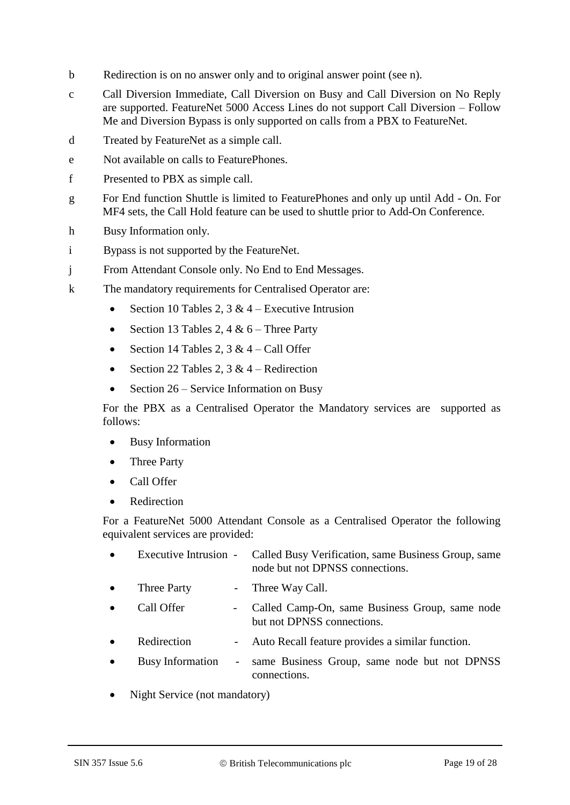- b Redirection is on no answer only and to original answer point (see n).
- c Call Diversion Immediate, Call Diversion on Busy and Call Diversion on No Reply are supported. FeatureNet 5000 Access Lines do not support Call Diversion – Follow Me and Diversion Bypass is only supported on calls from a PBX to FeatureNet.
- d Treated by FeatureNet as a simple call.
- e Not available on calls to FeaturePhones.
- f Presented to PBX as simple call.
- g For End function Shuttle is limited to FeaturePhones and only up until Add On. For MF4 sets, the Call Hold feature can be used to shuttle prior to Add-On Conference.
- h Busy Information only.
- i Bypass is not supported by the FeatureNet.
- j From Attendant Console only. No End to End Messages.
- k The mandatory requirements for Centralised Operator are:
	- Section 10 Tables 2,  $3 & 4$  Executive Intrusion
	- Section 13 Tables 2, 4 &  $6$  Three Party
	- Section 14 Tables 2,  $3 & 4 -$ Call Offer
	- Section 22 Tables 2,  $3 & 4$  Redirection
	- Section 26 Service Information on Busy

For the PBX as a Centralised Operator the Mandatory services are supported as follows:

- Busy Information
- Three Party
- Call Offer
- Redirection

For a FeatureNet 5000 Attendant Console as a Centralised Operator the following equivalent services are provided:

|                  |        | Executive Intrusion - Called Busy Verification, same Business Group, same<br>node but not DPNSS connections. |
|------------------|--------|--------------------------------------------------------------------------------------------------------------|
| Three Party      |        | - Three Way Call.                                                                                            |
| Call Offer       |        | Called Camp-On, same Business Group, same node<br>but not DPNSS connections.                                 |
| Redirection      |        | - Auto Recall feature provides a similar function.                                                           |
| Busy Information | $\sim$ | same Business Group, same node but not DPNSS<br>connections.                                                 |
|                  |        |                                                                                                              |

Night Service (not mandatory)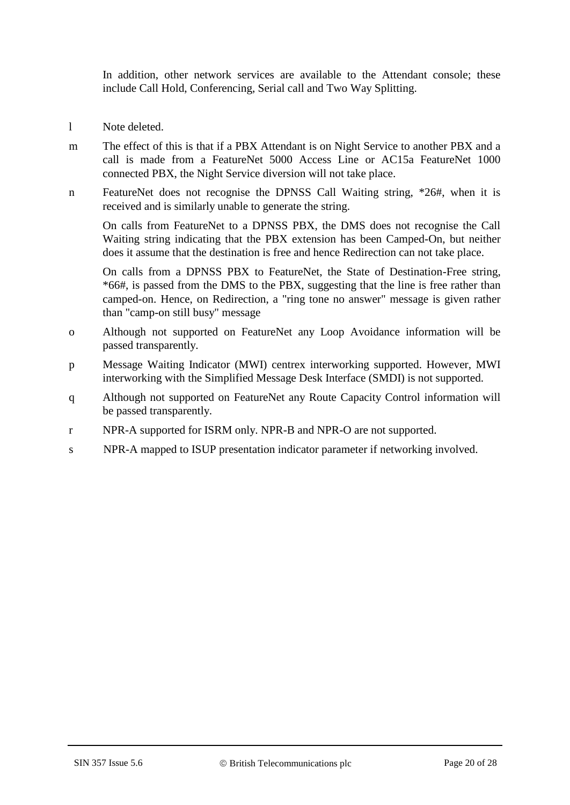In addition, other network services are available to the Attendant console; these include Call Hold, Conferencing, Serial call and Two Way Splitting.

- l Note deleted.
- m The effect of this is that if a PBX Attendant is on Night Service to another PBX and a call is made from a FeatureNet 5000 Access Line or AC15a FeatureNet 1000 connected PBX, the Night Service diversion will not take place.
- n FeatureNet does not recognise the DPNSS Call Waiting string, \*26#, when it is received and is similarly unable to generate the string.

On calls from FeatureNet to a DPNSS PBX, the DMS does not recognise the Call Waiting string indicating that the PBX extension has been Camped-On, but neither does it assume that the destination is free and hence Redirection can not take place.

On calls from a DPNSS PBX to FeatureNet, the State of Destination-Free string, \*66#, is passed from the DMS to the PBX, suggesting that the line is free rather than camped-on. Hence, on Redirection, a "ring tone no answer" message is given rather than "camp-on still busy" message

- o Although not supported on FeatureNet any Loop Avoidance information will be passed transparently.
- p Message Waiting Indicator (MWI) centrex interworking supported. However, MWI interworking with the Simplified Message Desk Interface (SMDI) is not supported.
- q Although not supported on FeatureNet any Route Capacity Control information will be passed transparently.
- r NPR-A supported for ISRM only. NPR-B and NPR-O are not supported.
- s NPR-A mapped to ISUP presentation indicator parameter if networking involved.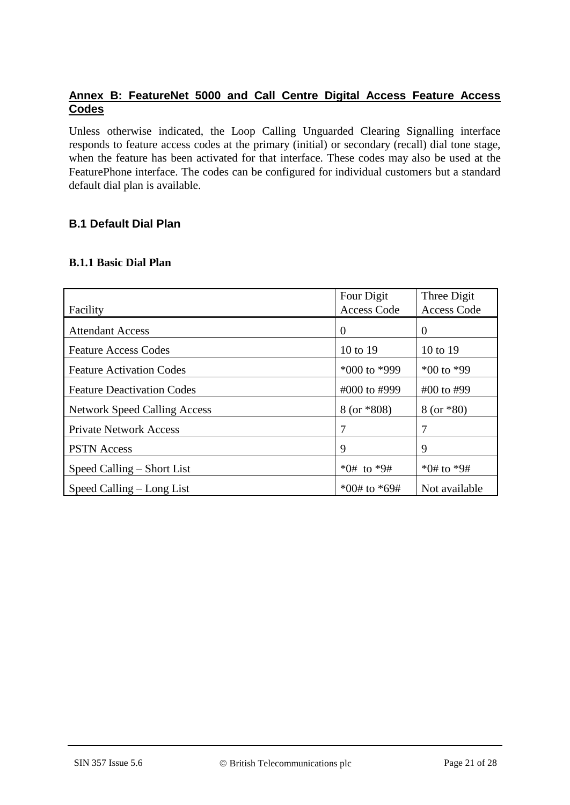# **Annex B: FeatureNet 5000 and Call Centre Digital Access Feature Access Codes**

Unless otherwise indicated, the Loop Calling Unguarded Clearing Signalling interface responds to feature access codes at the primary (initial) or secondary (recall) dial tone stage, when the feature has been activated for that interface. These codes may also be used at the FeaturePhone interface. The codes can be configured for individual customers but a standard default dial plan is available.

# **B.1 Default Dial Plan**

### **B.1.1 Basic Dial Plan**

|                                     | Four Digit         | Three Digit        |
|-------------------------------------|--------------------|--------------------|
| Facility                            | <b>Access Code</b> | <b>Access Code</b> |
| <b>Attendant Access</b>             | $\Omega$           | 0                  |
| <b>Feature Access Codes</b>         | 10 to 19           | 10 to 19           |
| <b>Feature Activation Codes</b>     | $*000$ to $*999$   | $*00$ to $*99$     |
| <b>Feature Deactivation Codes</b>   | #000 to #999       | #00 to #99         |
| <b>Network Speed Calling Access</b> | $8$ (or $*808$ )   | $8 (or * 80)$      |
| <b>Private Network Access</b>       | 7                  |                    |
| <b>PSTN</b> Access                  | 9                  | 9                  |
| Speed Calling – Short List          | $*0#$ to $*9#$     | *0# to $*9#$       |
| Speed Calling – Long List           | $*00#$ to $*69#$   | Not available      |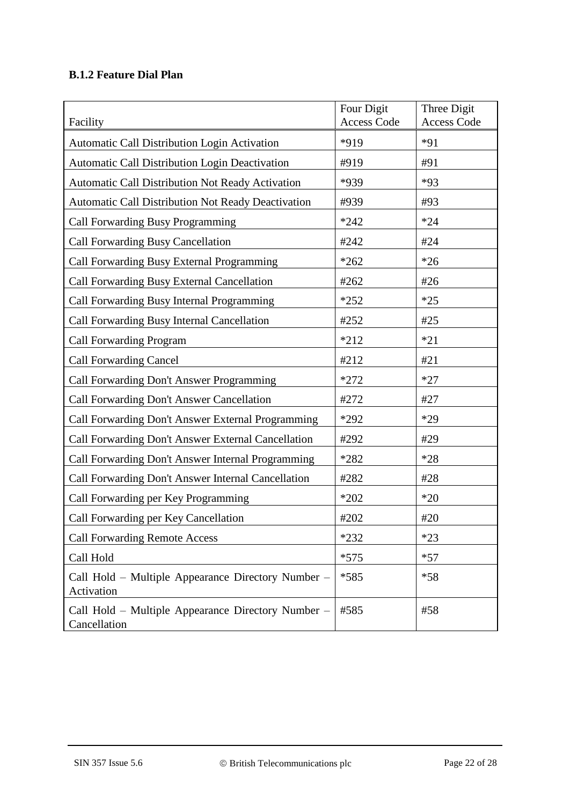# **B.1.2 Feature Dial Plan**

| Facility                                                           | Four Digit<br><b>Access Code</b> | Three Digit<br><b>Access Code</b> |
|--------------------------------------------------------------------|----------------------------------|-----------------------------------|
| Automatic Call Distribution Login Activation                       | *919                             | $*91$                             |
| <b>Automatic Call Distribution Login Deactivation</b>              | #919                             | #91                               |
| Automatic Call Distribution Not Ready Activation                   | *939                             | $*93$                             |
| <b>Automatic Call Distribution Not Ready Deactivation</b>          | #939                             | #93                               |
| Call Forwarding Busy Programming                                   | $*242$                           | $*24$                             |
| Call Forwarding Busy Cancellation                                  | #242                             | #24                               |
| Call Forwarding Busy External Programming                          | $*262$                           | $*26$                             |
| Call Forwarding Busy External Cancellation                         | #262                             | #26                               |
| Call Forwarding Busy Internal Programming                          | $*252$                           | $*25$                             |
| Call Forwarding Busy Internal Cancellation                         | #252                             | #25                               |
| <b>Call Forwarding Program</b>                                     | $*212$                           | $*21$                             |
| <b>Call Forwarding Cancel</b>                                      | #212                             | #21                               |
| Call Forwarding Don't Answer Programming                           | $*272$                           | $*27$                             |
| Call Forwarding Don't Answer Cancellation                          | #272                             | #27                               |
| Call Forwarding Don't Answer External Programming                  | *292                             | $*29$                             |
| Call Forwarding Don't Answer External Cancellation                 | #292                             | #29                               |
| Call Forwarding Don't Answer Internal Programming                  | $*282$                           | $*28$                             |
| Call Forwarding Don't Answer Internal Cancellation                 | #282                             | #28                               |
| Call Forwarding per Key Programming                                | $*202$                           | $*20$                             |
| Call Forwarding per Key Cancellation                               | #202                             | #20                               |
| <b>Call Forwarding Remote Access</b>                               | $*232$                           | $*23$                             |
| Call Hold                                                          | $*575$                           | $*57$                             |
| Call Hold – Multiple Appearance Directory Number –<br>Activation   | *585                             | $*58$                             |
| Call Hold – Multiple Appearance Directory Number –<br>Cancellation | #585                             | #58                               |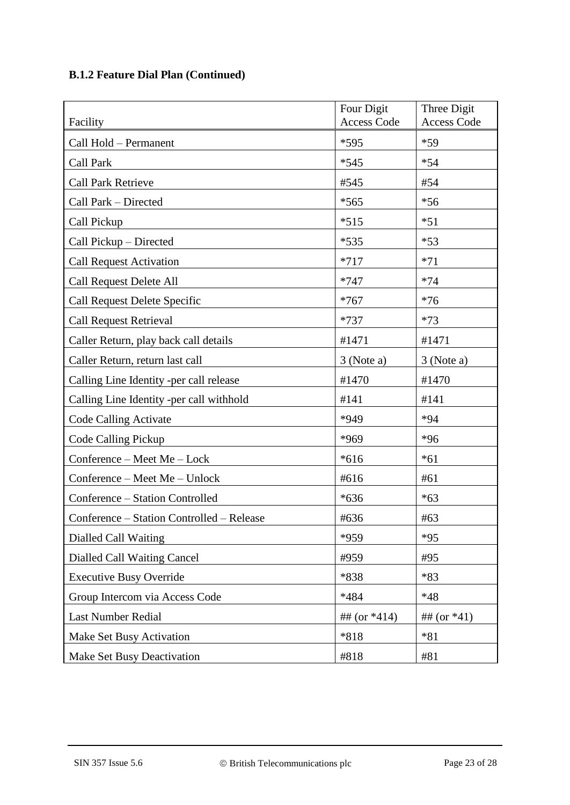# **B.1.2 Feature Dial Plan (Continued)**

|                                           | Four Digit<br><b>Access Code</b> | Three Digit<br><b>Access Code</b> |
|-------------------------------------------|----------------------------------|-----------------------------------|
| Facility                                  |                                  |                                   |
| Call Hold - Permanent                     | *595                             | $*59$                             |
| Call Park                                 | $*545$                           | $*54$                             |
| <b>Call Park Retrieve</b>                 | #545                             | #54                               |
| Call Park - Directed                      | $*565$                           | $*56$                             |
| Call Pickup                               | $*515$                           | $*51$                             |
| Call Pickup - Directed                    | $*535$                           | $*53$                             |
| <b>Call Request Activation</b>            | $*717$                           | $*71$                             |
| Call Request Delete All                   | $*747$                           | $*74$                             |
| Call Request Delete Specific              | $*767$                           | $*76$                             |
| <b>Call Request Retrieval</b>             | $*737$                           | $*73$                             |
| Caller Return, play back call details     | #1471                            | #1471                             |
| Caller Return, return last call           | 3 (Note a)                       | $3$ (Note a)                      |
| Calling Line Identity -per call release   | #1470                            | #1470                             |
| Calling Line Identity -per call withhold  | #141                             | #141                              |
| <b>Code Calling Activate</b>              | *949                             | $*94$                             |
| <b>Code Calling Pickup</b>                | *969                             | $*96$                             |
| Conference - Meet Me - Lock               | $*616$                           | $*61$                             |
| Conference – Meet Me – Unlock             | #616                             | #61                               |
| Conference - Station Controlled           | $*636$                           | $*63$                             |
| Conference – Station Controlled – Release | #636<br>#63                      |                                   |
| Dialled Call Waiting                      | *959                             | $*95$                             |
| Dialled Call Waiting Cancel               | #959                             | #95                               |
| <b>Executive Busy Override</b>            | *838                             | $*83$                             |
| Group Intercom via Access Code            | *484                             | $*48$                             |
| <b>Last Number Redial</b>                 | ## (or $*414$ )                  | ## $(or *41)$                     |
| Make Set Busy Activation                  | $*818$<br>$*81$                  |                                   |
| Make Set Busy Deactivation                | #818                             | #81                               |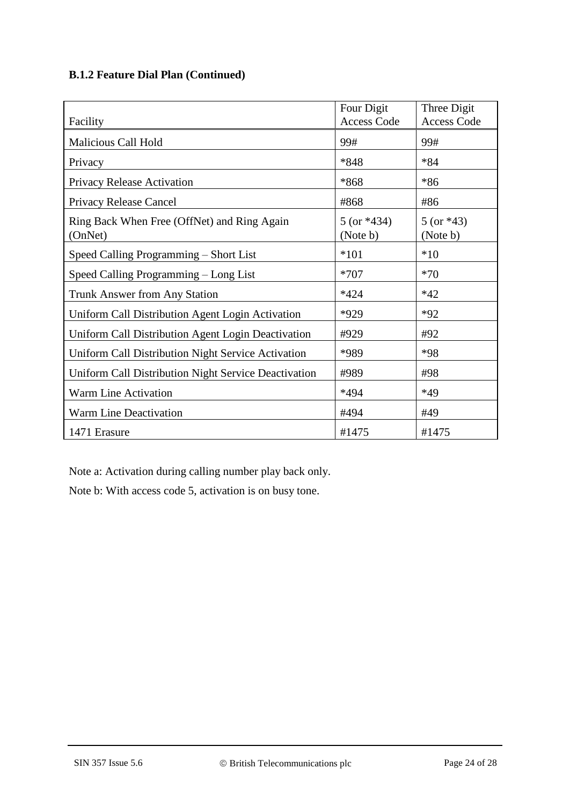# **B.1.2 Feature Dial Plan (Continued)**

|                                                        | Four Digit                   | Three Digit              |
|--------------------------------------------------------|------------------------------|--------------------------|
| Facility                                               | <b>Access Code</b>           | <b>Access Code</b>       |
| <b>Malicious Call Hold</b>                             | 99#                          | 99#                      |
| Privacy                                                | *848                         | $*84$                    |
| Privacy Release Activation                             | $*868$                       | $*86$                    |
| Privacy Release Cancel                                 | #868                         | #86                      |
| Ring Back When Free (OffNet) and Ring Again<br>(OnNet) | $5$ (or $*434$ )<br>(Note b) | $5 (or *43)$<br>(Note b) |
| Speed Calling Programming - Short List                 | $*101$                       | $*10$                    |
| Speed Calling Programming - Long List                  | $*707$                       | $*70$                    |
| <b>Trunk Answer from Any Station</b>                   | $*424$                       | $*42$                    |
| Uniform Call Distribution Agent Login Activation       | *929                         | $*92$                    |
| Uniform Call Distribution Agent Login Deactivation     | #929                         | #92                      |
| Uniform Call Distribution Night Service Activation     | *989                         | *98                      |
| Uniform Call Distribution Night Service Deactivation   | #989                         | #98                      |
| <b>Warm Line Activation</b>                            | *494                         | $*49$                    |
| <b>Warm Line Deactivation</b>                          | #494                         | #49                      |
| 1471 Erasure                                           | #1475                        | #1475                    |

Note a: Activation during calling number play back only.

Note b: With access code 5, activation is on busy tone.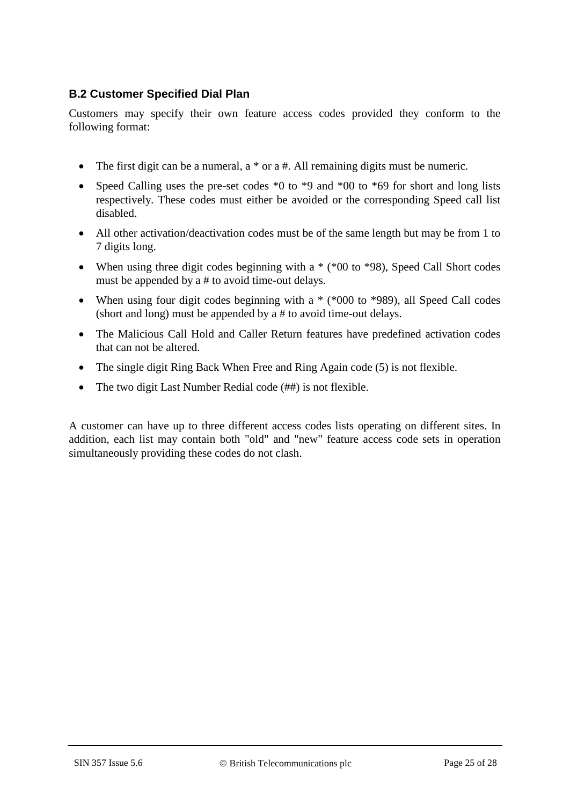# **B.2 Customer Specified Dial Plan**

Customers may specify their own feature access codes provided they conform to the following format:

- The first digit can be a numeral,  $a * or a #$ . All remaining digits must be numeric.
- Speed Calling uses the pre-set codes  $*0$  to  $*9$  and  $*00$  to  $*69$  for short and long lists respectively. These codes must either be avoided or the corresponding Speed call list disabled.
- All other activation/deactivation codes must be of the same length but may be from 1 to 7 digits long.
- When using three digit codes beginning with a  $*(00)$  to  $*98$ ), Speed Call Short codes must be appended by a # to avoid time-out delays.
- When using four digit codes beginning with a  $*(8000 \text{ to } 8989)$ , all Speed Call codes (short and long) must be appended by a # to avoid time-out delays.
- The Malicious Call Hold and Caller Return features have predefined activation codes that can not be altered.
- The single digit Ring Back When Free and Ring Again code (5) is not flexible.
- The two digit Last Number Redial code (##) is not flexible.

A customer can have up to three different access codes lists operating on different sites. In addition, each list may contain both "old" and "new" feature access code sets in operation simultaneously providing these codes do not clash.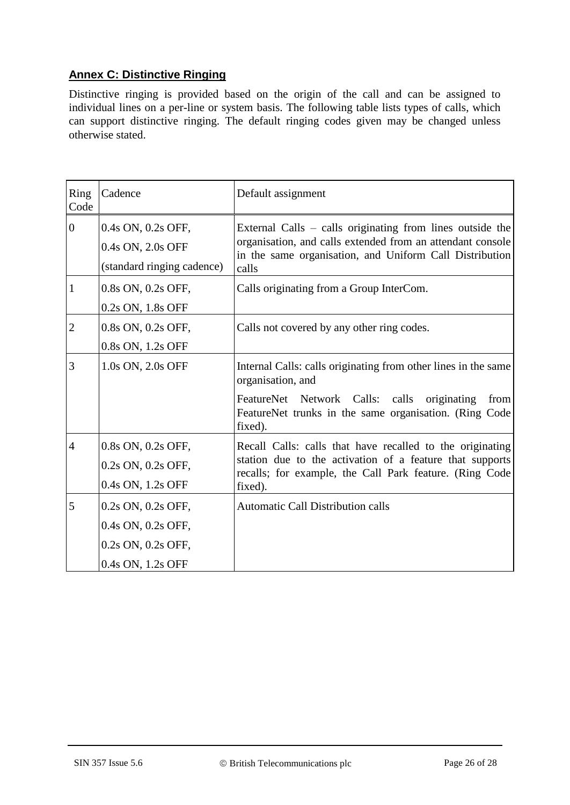# **Annex C: Distinctive Ringing**

Distinctive ringing is provided based on the origin of the call and can be assigned to individual lines on a per-line or system basis. The following table lists types of calls, which can support distinctive ringing. The default ringing codes given may be changed unless otherwise stated.

| Ring<br>Code   | Cadence                                                                             | Default assignment                                                                                                                                                                                                 |
|----------------|-------------------------------------------------------------------------------------|--------------------------------------------------------------------------------------------------------------------------------------------------------------------------------------------------------------------|
| $\overline{0}$ | 0.4s ON, 0.2s OFF,<br>0.4s ON, 2.0s OFF<br>(standard ringing cadence)               | External Calls – calls originating from lines outside the<br>organisation, and calls extended from an attendant console<br>in the same organisation, and Uniform Call Distribution<br>calls                        |
| $\mathbf{1}$   | 0.8s ON, 0.2s OFF,<br>0.2s ON, 1.8s OFF                                             | Calls originating from a Group InterCom.                                                                                                                                                                           |
| $\overline{2}$ | 0.8s ON, 0.2s OFF,<br>0.8s ON, 1.2s OFF                                             | Calls not covered by any other ring codes.                                                                                                                                                                         |
| 3              | 1.0s ON, 2.0s OFF                                                                   | Internal Calls: calls originating from other lines in the same<br>organisation, and<br>FeatureNet Network Calls: calls<br>originating<br>from<br>FeatureNet trunks in the same organisation. (Ring Code<br>fixed). |
| $\overline{4}$ | 0.8s ON, 0.2s OFF,<br>0.2s ON, 0.2s OFF,<br>0.4s ON, 1.2s OFF                       | Recall Calls: calls that have recalled to the originating<br>station due to the activation of a feature that supports<br>recalls; for example, the Call Park feature. (Ring Code<br>fixed).                        |
| 5              | 0.2s ON, 0.2s OFF,<br>0.4s ON, 0.2s OFF,<br>0.2s ON, 0.2s OFF,<br>0.4s ON, 1.2s OFF | <b>Automatic Call Distribution calls</b>                                                                                                                                                                           |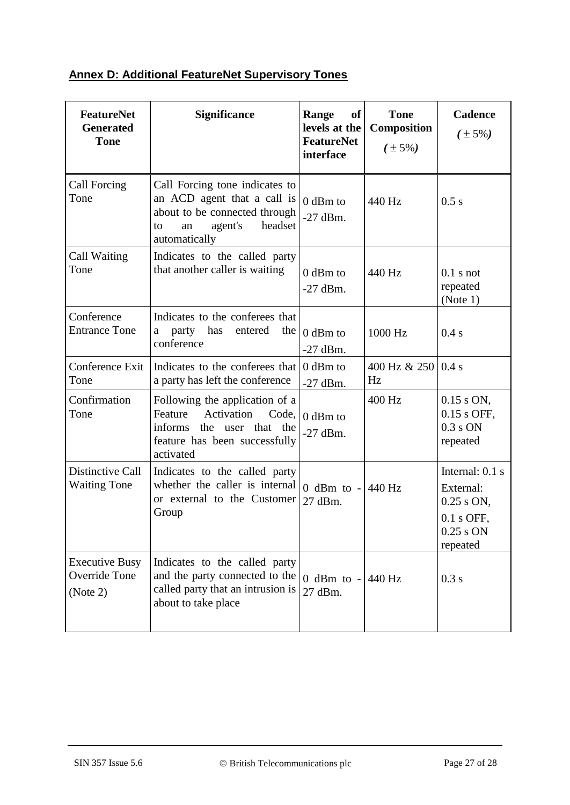# **Annex D: Additional FeatureNet Supervisory Tones**

| <b>FeatureNet</b><br><b>Generated</b><br><b>Tone</b> | <b>Significance</b>                                                                                                                               | Range<br><b>of</b><br>levels at the<br><b>FeatureNet</b><br>interface | <b>Tone</b><br>Composition<br>$(\pm 5\%)$ | <b>Cadence</b><br>$(\pm 5\%)$                                                           |
|------------------------------------------------------|---------------------------------------------------------------------------------------------------------------------------------------------------|-----------------------------------------------------------------------|-------------------------------------------|-----------------------------------------------------------------------------------------|
| Call Forcing<br>Tone                                 | Call Forcing tone indicates to<br>an ACD agent that a call is<br>about to be connected through<br>agent's<br>headset<br>an<br>to<br>automatically | $0$ dBm to<br>$-27$ dBm.                                              | 440 Hz                                    | 0.5 s                                                                                   |
| Call Waiting<br>Tone                                 | Indicates to the called party<br>that another caller is waiting                                                                                   | 0 dBm to<br>$-27$ dBm.                                                | 440 Hz                                    | $0.1$ s not<br>repeated<br>(Note 1)                                                     |
| Conference<br><b>Entrance Tone</b>                   | Indicates to the conferees that<br>has<br>party<br>entered<br>the<br>a<br>conference                                                              | $0$ dBm to<br>$-27$ dBm.                                              | 1000 Hz                                   | 0.4 s                                                                                   |
| Conference Exit<br>Tone                              | Indicates to the conferees that<br>a party has left the conference                                                                                | 0 dBm to<br>$-27$ dBm.                                                | 400 Hz & $250 \mid 0.4 \text{ s}$<br>Hz   |                                                                                         |
| Confirmation<br>Tone                                 | Following the application of a<br>Feature<br>Activation<br>Code.<br>informs<br>the user that the<br>feature has been successfully<br>activated    | $0$ dBm to<br>$-27$ dBm.                                              | 400 Hz                                    | $0.15$ s ON,<br>0.15 s OFF,<br>$0.3$ s ON<br>repeated                                   |
| Distinctive Call<br><b>Waiting Tone</b>              | Indicates to the called party<br>whether the caller is internal<br>or external to the Customer<br>Group                                           | $0$ dBm to -<br>27 dBm.                                               | 440 Hz                                    | Internal: 0.1 s<br>External:<br>$0.25$ s ON,<br>$0.1$ s OFF,<br>$0.25$ s ON<br>repeated |
| <b>Executive Busy</b><br>Override Tone<br>(Note 2)   | Indicates to the called party<br>and the party connected to the<br>called party that an intrusion is<br>about to take place                       | 0 dBm to $-$ 440 Hz<br>27 dBm.                                        |                                           | 0.3 s                                                                                   |